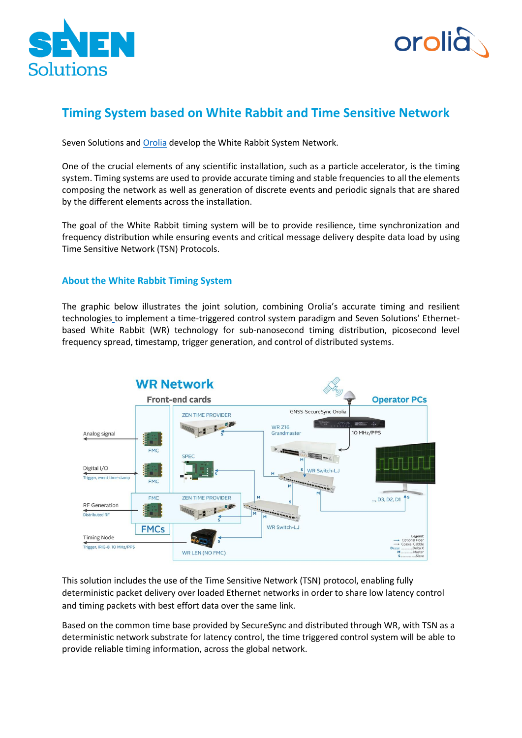



# **Timing System based on White Rabbit and Time Sensitive Network**

Seven Solutions and [Orolia](https://www.orolia.com/products/timing-sync/white-rabbit-solutions) develop the White Rabbit System Network.

One of the crucial elements of any scientific installation, such as a particle accelerator, is the timing system. Timing systems are used to provide accurate timing and stable frequencies to all the elements composing the network as well as generation of discrete events and periodic signals that are shared by the different elements across the installation.

The goal of the White Rabbit timing system will be to provide resilience, time synchronization and frequency distribution while ensuring events and critical message delivery despite data load by using Time Sensitive Network (TSN) Protocols.

# **About the White Rabbit Timing System**

The graphic below illustrates the joint solution, combining Orolia's accurate timing and resilient technologies to implement a time-triggered control system paradigm and Seven Solutions' Ethernetbased White Rabbit (WR) technology for sub-nanosecond timing distribution, picosecond level frequency spread, timestamp, trigger generation, and control of distributed systems.



This solution includes the use of the Time Sensitive Network (TSN) protocol, enabling fully deterministic packet delivery over loaded Ethernet networks in order to share low latency control and timing packets with best effort data over the same link.

Based on the common time base provided by SecureSync and distributed through WR, with TSN as a deterministic network substrate for latency control, the time triggered control system will be able to provide reliable timing information, across the global network.